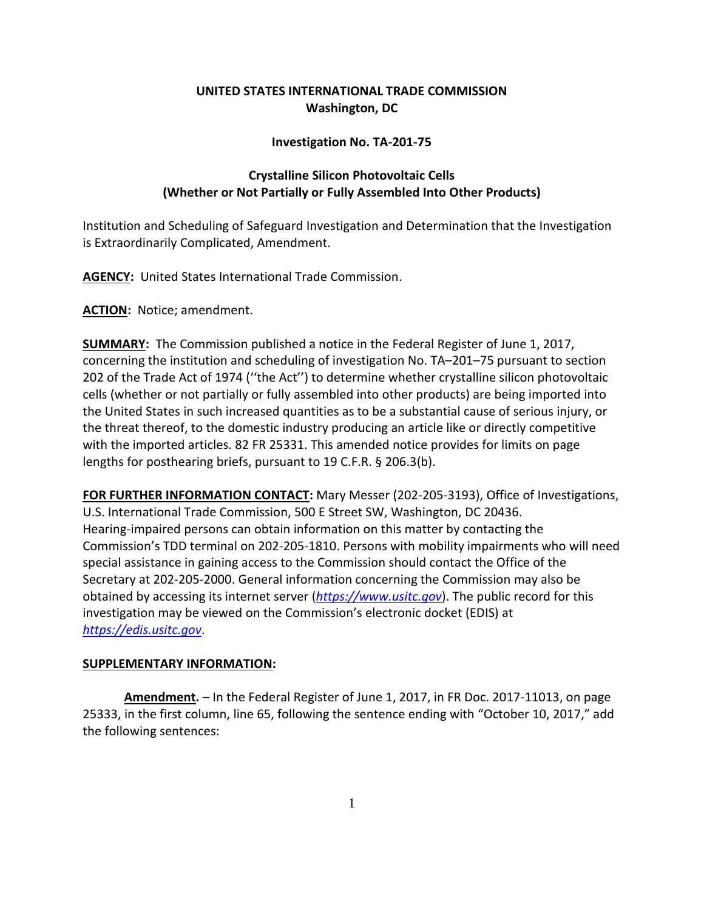## **UNITED STATES INTERNATIONAL TRADE COMMISSION Washington, DC**

## **Investigation No. TA-201-75**

## **Crystalline Silicon Photovoltaic Cells (Whether or Not Partially or Fully Assembled Into Other Products)**

Institution and Scheduling of Safeguard Investigation and Determination that the Investigation is Extraordinarily Complicated, Amendment.

**AGENCY:** United States International Trade Commission.

**ACTION:** Notice; amendment.

**SUMMARY:** The Commission published a notice in the Federal Register of June 1, 2017, concerning the institution and scheduling of investigation No. TA–201–75 pursuant to section 202 of the Trade Act of 1974 (''the Act'') to determine whether crystalline silicon photovoltaic cells (whether or not partially or fully assembled into other products) are being imported into the United States in such increased quantities as to be a substantial cause of serious injury, or the threat thereof, to the domestic industry producing an article like or directly competitive with the imported articles. 82 FR 25331. This amended notice provides for limits on page lengths for posthearing briefs, pursuant to 19 C.F.R. § 206.3(b).

**FOR FURTHER INFORMATION CONTACT:** Mary Messer (202‐205‐3193), Office of Investigations, U.S. International Trade Commission, 500 E Street SW, Washington, DC 20436. Hearing‐impaired persons can obtain information on this matter by contacting the Commission's TDD terminal on 202‐205‐1810. Persons with mobility impairments who will need special assistance in gaining access to the Commission should contact the Office of the Secretary at 202‐205‐2000. General information concerning the Commission may also be obtained by accessing its internet server (*[https://www.usitc.gov](https://www.usitc.gov/)*). The public record for this investigation may be viewed on the Commission's electronic docket (EDIS) at *[https://edis.usitc.gov](https://edis.usitc.gov/)*.

## **SUPPLEMENTARY INFORMATION:**

**Amendment.** – In the Federal Register of June 1, 2017, in FR Doc. 2017-11013, on page 25333, in the first column, line 65, following the sentence ending with "October 10, 2017," add the following sentences: